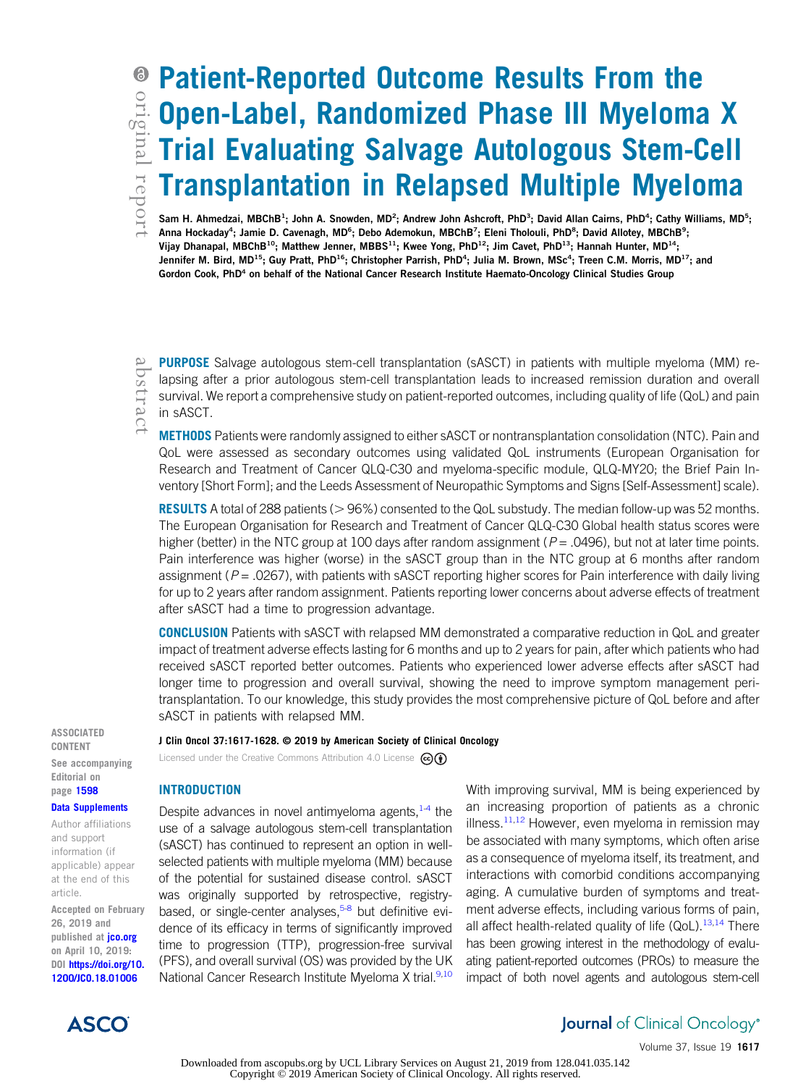# **of Supen-Label, Randomized Phase III Myeloma X**<br>**E** Trial Evaluating Salvage Autologous Stem-Cell Patient-Reported Outcome Results From the Trial Evaluating Salvage Autologous Stem-Cell Transplantation in Relapsed Multiple Myeloma

Sam H. Ahmedzai, MBChB<sup>1</sup>; John A. Snowden, MD<sup>2</sup>; Andrew John Ashcroft, PhD<sup>3</sup>; David Allan Cairns, PhD<sup>4</sup>; Cathy Williams, MD<sup>5</sup>; Anna Hockaday<sup>4</sup>; Jamie D. Cavenagh, MD<sup>6</sup>; Debo Ademokun, MBChB<sup>7</sup>; Eleni Tholouli, PhD<sup>8</sup>; David Allotey, MBChB<sup>9</sup>; Vijay Dhanapal, MBChB<sup>10</sup>; Matthew Jenner, MBBS<sup>11</sup>; Kwee Yong, PhD<sup>12</sup>; Jim Cavet, PhD<sup>13</sup>; Hannah Hunter, MD<sup>14</sup>; Jennifer M. Bird, MD<sup>15</sup>; Guy Pratt, PhD<sup>16</sup>; Christopher Parrish, PhD<sup>4</sup>; Julia M. Brown, MSc<sup>4</sup>; Treen C.M. Morris, MD<sup>17</sup>; and Gordon Cook, PhD<sup>4</sup> on behalf of the National Cancer Research Institute Haemato-Oncology Clinical Studies Group

PURPOSE Salvage autologous stem-cell transplantation (sASCT) in patients with multiple myeloma (MM) relapsing after a prior autologous stem-cell transplantation leads to increased remission duration and overall survival. We report a comprehensive study on patient-reported outcomes, including quality of life (QoL) and pain in sASCT.

METHODS Patients were randomly assigned to either sASCT or nontransplantation consolidation (NTC). Pain and QoL were assessed as secondary outcomes using validated QoL instruments (European Organisation for Research and Treatment of Cancer QLQ-C30 and myeloma-specific module, QLQ-MY20; the Brief Pain Inventory [Short Form]; and the Leeds Assessment of Neuropathic Symptoms and Signs [Self-Assessment] scale).

RESULTS A total of 288 patients ( $>96\%$ ) consented to the QoL substudy. The median follow-up was 52 months. The European Organisation for Research and Treatment of Cancer QLQ-C30 Global health status scores were higher (better) in the NTC group at 100 days after random assignment ( $P = .0496$ ), but not at later time points. Pain interference was higher (worse) in the sASCT group than in the NTC group at 6 months after random assignment ( $P = .0267$ ), with patients with sASCT reporting higher scores for Pain interference with daily living for up to 2 years after random assignment. Patients reporting lower concerns about adverse effects of treatment after sASCT had a time to progression advantage.

**CONCLUSION** Patients with sASCT with relapsed MM demonstrated a comparative reduction in QoL and greater impact of treatment adverse effects lasting for 6 months and up to 2 years for pain, after which patients who had received sASCT reported better outcomes. Patients who experienced lower adverse effects after sASCT had longer time to progression and overall survival, showing the need to improve symptom management peritransplantation. To our knowledge, this study provides the most comprehensive picture of QoL before and after sASCT in patients with relapsed MM.

#### J Clin Oncol 37:1617-1628. © 2019 by American Society of Clinical Oncology

Licensed under the Creative Commons Attribution 4.0 License  $\mathbf{G}(\widehat{\mathbf{f}})$ 

## See accompanying Editorial on page [1598](http://ascopubs.org/doi/full/10.1200/JCO.19.00865)

ASSOCIATED CONTENT

[Data Supplements](https://ascopubs.org/doi/suppl/10.1200/JCO.18.01006) Author affiliations

and support information (if applicable) appear at the end of this article.

Accepted on February 26, 2019 and published at *[jco.org](http://jco.org)* on April 10, 2019: DOI [https://doi.org/10.](http://ascopubs.org/doi/full/10.1200/JCO.18.01006) [1200/JCO.18.01006](http://ascopubs.org/doi/full/10.1200/JCO.18.01006)

**ASCO** 

## INTRODUCTION

Despite advances in novel antimyeloma agents,  $1-4$  the use of a salvage autologous stem-cell transplantation (sASCT) has continued to represent an option in wellselected patients with multiple myeloma (MM) because of the potential for sustained disease control. sASCT was originally supported by retrospective, registrybased, or single-center analyses, $5-8$  but definitive evidence of its efficacy in terms of significantly improved time to progression (TTP), progression-free survival (PFS), and overall survival (OS) was provided by the UK National Cancer Research Institute Myeloma X trial.<sup>[9](#page-11-0),[10](#page-11-0)</sup> With improving survival, MM is being experienced by an increasing proportion of patients as a chronic illness. $11,12$  $11,12$  $11,12$  However, even myeloma in remission may be associated with many symptoms, which often arise as a consequence of myeloma itself, its treatment, and interactions with comorbid conditions accompanying aging. A cumulative burden of symptoms and treatment adverse effects, including various forms of pain, all affect health-related quality of life  $(QoL)$ .<sup>[13,14](#page-11-0)</sup> There has been growing interest in the methodology of evaluating patient-reported outcomes (PROs) to measure the impact of both novel agents and autologous stem-cell



## **Journal** of Clinical Oncology®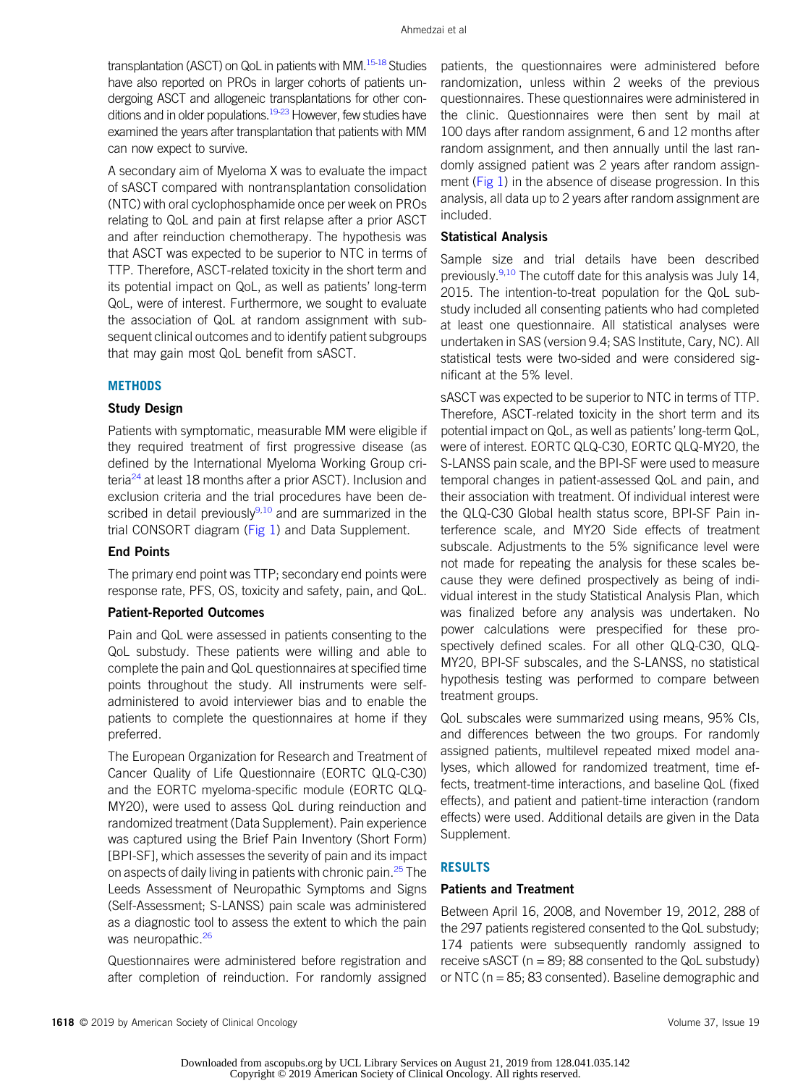transplantation (ASCT) on QoL in patients with MM.<sup>15-18</sup> Studies have also reported on PROs in larger cohorts of patients undergoing ASCT and allogeneic transplantations for other conditions and in older populations.<sup>19-23</sup> However, few studies have examined the years after transplantation that patients with MM can now expect to survive.

A secondary aim of Myeloma X was to evaluate the impact of sASCT compared with nontransplantation consolidation (NTC) with oral cyclophosphamide once per week on PROs relating to QoL and pain at first relapse after a prior ASCT and after reinduction chemotherapy. The hypothesis was that ASCT was expected to be superior to NTC in terms of TTP. Therefore, ASCT-related toxicity in the short term and its potential impact on QoL, as well as patients' long-term QoL, were of interest. Furthermore, we sought to evaluate the association of QoL at random assignment with subsequent clinical outcomes and to identify patient subgroups that may gain most QoL benefit from sASCT.

#### **METHODS**

#### Study Design

Patients with symptomatic, measurable MM were eligible if they required treatment of first progressive disease (as defined by the International Myeloma Working Group cri-teria<sup>[24](#page-11-0)</sup> at least 18 months after a prior ASCT). Inclusion and exclusion criteria and the trial procedures have been de-scribed in detail previously<sup>[9,10](#page-11-0)</sup> and are summarized in the trial CONSORT diagram [\(Fig 1](#page-2-0)) and Data Supplement.

### End Points

The primary end point was TTP; secondary end points were response rate, PFS, OS, toxicity and safety, pain, and QoL.

## Patient-Reported Outcomes

Pain and QoL were assessed in patients consenting to the QoL substudy. These patients were willing and able to complete the pain and QoL questionnaires at specified time points throughout the study. All instruments were selfadministered to avoid interviewer bias and to enable the patients to complete the questionnaires at home if they preferred.

The European Organization for Research and Treatment of Cancer Quality of Life Questionnaire (EORTC QLQ-C30) and the EORTC myeloma-specific module (EORTC QLQ-MY20), were used to assess QoL during reinduction and randomized treatment (Data Supplement). Pain experience was captured using the Brief Pain Inventory (Short Form) [BPI-SF], which assesses the severity of pain and its impact on aspects of daily living in patients with chronic pain.<sup>[25](#page-11-0)</sup> The Leeds Assessment of Neuropathic Symptoms and Signs (Self-Assessment; S-LANSS) pain scale was administered as a diagnostic tool to assess the extent to which the pain was neuropathic.<sup>[26](#page-11-0)</sup>

Questionnaires were administered before registration and after completion of reinduction. For randomly assigned

patients, the questionnaires were administered before randomization, unless within 2 weeks of the previous questionnaires. These questionnaires were administered in the clinic. Questionnaires were then sent by mail at 100 days after random assignment, 6 and 12 months after random assignment, and then annually until the last randomly assigned patient was 2 years after random assign-ment ([Fig 1\)](#page-2-0) in the absence of disease progression. In this analysis, all data up to 2 years after random assignment are included.

## Statistical Analysis

Sample size and trial details have been described previously.<sup>[9,10](#page-11-0)</sup> The cutoff date for this analysis was July 14, 2015. The intention-to-treat population for the QoL substudy included all consenting patients who had completed at least one questionnaire. All statistical analyses were undertaken in SAS (version 9.4; SAS Institute, Cary, NC). All statistical tests were two-sided and were considered significant at the 5% level.

sASCT was expected to be superior to NTC in terms of TTP. Therefore, ASCT-related toxicity in the short term and its potential impact on QoL, as well as patients' long-term QoL, were of interest. EORTC QLQ-C30, EORTC QLQ-MY20, the S-LANSS pain scale, and the BPI-SF were used to measure temporal changes in patient-assessed QoL and pain, and their association with treatment. Of individual interest were the QLQ-C30 Global health status score, BPI-SF Pain interference scale, and MY20 Side effects of treatment subscale. Adjustments to the 5% significance level were not made for repeating the analysis for these scales because they were defined prospectively as being of individual interest in the study Statistical Analysis Plan, which was finalized before any analysis was undertaken. No power calculations were prespecified for these prospectively defined scales. For all other QLQ-C30, QLQ-MY20, BPI-SF subscales, and the S-LANSS, no statistical hypothesis testing was performed to compare between treatment groups.

QoL subscales were summarized using means, 95% CIs, and differences between the two groups. For randomly assigned patients, multilevel repeated mixed model analyses, which allowed for randomized treatment, time effects, treatment-time interactions, and baseline QoL (fixed effects), and patient and patient-time interaction (random effects) were used. Additional details are given in the Data Supplement.

## RESULTS

## Patients and Treatment

Between April 16, 2008, and November 19, 2012, 288 of the 297 patients registered consented to the QoL substudy; 174 patients were subsequently randomly assigned to receive sASCT ( $n = 89$ ; 88 consented to the QoL substudy) or NTC (n = 85; 83 consented). Baseline demographic and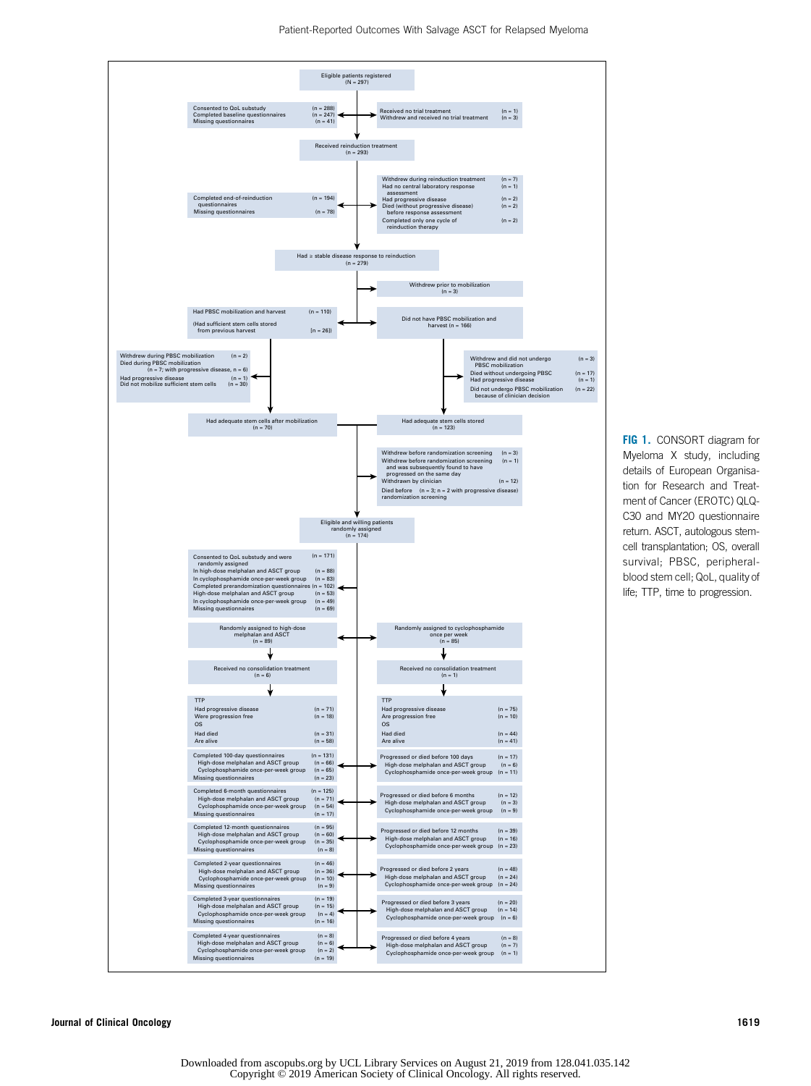<span id="page-2-0"></span>

FIG 1. CONSORT diagram for Myeloma X study, including details of European Organisation for Research and Treatment of Cancer (EROTC) QLQ-C30 and MY20 questionnaire return. ASCT, autologous stemcell transplantation; OS, overall survival; PBSC, peripheralblood stem cell; QoL, quality of life; TTP, time to progression.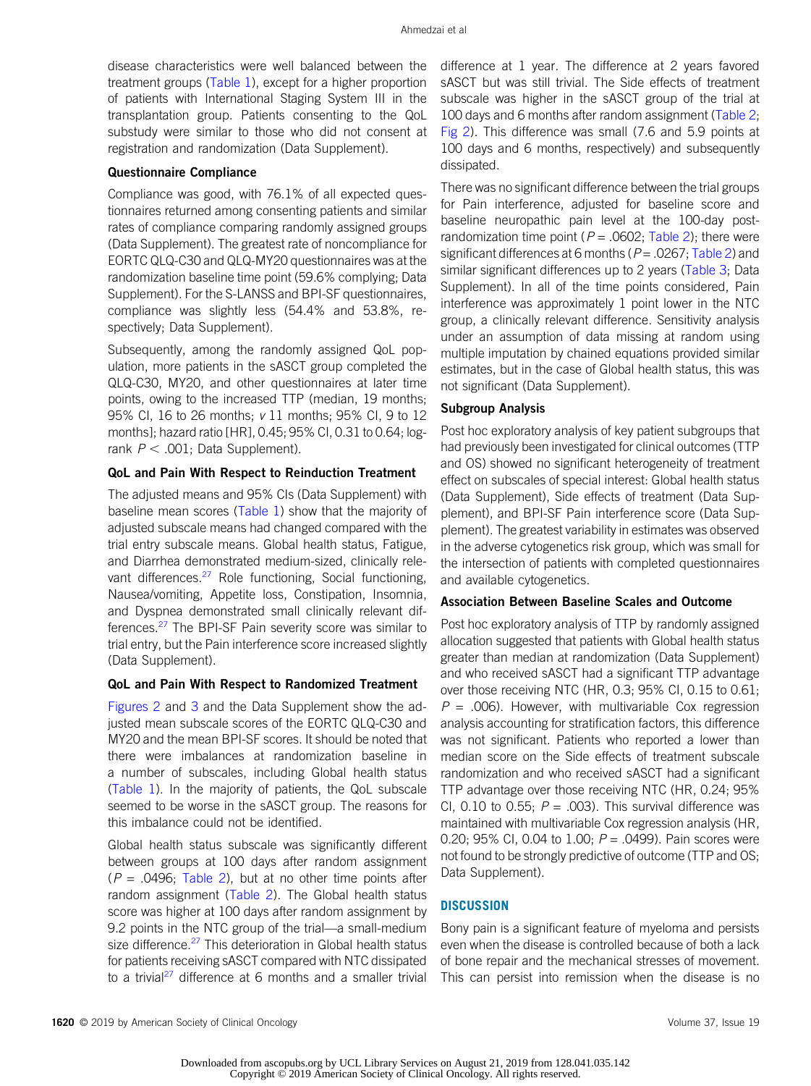disease characteristics were well balanced between the treatment groups [\(Table 1](#page-4-0)), except for a higher proportion of patients with International Staging System III in the transplantation group. Patients consenting to the QoL substudy were similar to those who did not consent at registration and randomization (Data Supplement).

## Questionnaire Compliance

Compliance was good, with 76.1% of all expected questionnaires returned among consenting patients and similar rates of compliance comparing randomly assigned groups (Data Supplement). The greatest rate of noncompliance for EORTC QLQ-C30 and QLQ-MY20 questionnaires was at the randomization baseline time point (59.6% complying; Data Supplement). For the S-LANSS and BPI-SF questionnaires, compliance was slightly less (54.4% and 53.8%, respectively; Data Supplement).

Subsequently, among the randomly assigned QoL population, more patients in the sASCT group completed the QLQ-C30, MY20, and other questionnaires at later time points, owing to the increased TTP (median, 19 months; 95% CI, 16 to 26 months; v 11 months; 95% CI, 9 to 12 months]; hazard ratio [HR], 0.45; 95% CI, 0.31 to 0.64; logrank  $P < .001$ ; Data Supplement).

## QoL and Pain With Respect to Reinduction Treatment

The adjusted means and 95% CIs (Data Supplement) with baseline mean scores ([Table 1](#page-4-0)) show that the majority of adjusted subscale means had changed compared with the trial entry subscale means. Global health status, Fatigue, and Diarrhea demonstrated medium-sized, clinically rele-vant differences.<sup>[27](#page-11-0)</sup> Role functioning, Social functioning, Nausea/vomiting, Appetite loss, Constipation, Insomnia, and Dyspnea demonstrated small clinically relevant dif-ferences.<sup>[27](#page-11-0)</sup> The BPI-SF Pain severity score was similar to trial entry, but the Pain interference score increased slightly (Data Supplement).

## QoL and Pain With Respect to Randomized Treatment

[Figures 2](#page-8-0) and [3](#page-9-0) and the Data Supplement show the adjusted mean subscale scores of the EORTC QLQ-C30 and MY20 and the mean BPI-SF scores. It should be noted that there were imbalances at randomization baseline in a number of subscales, including Global health status ([Table 1](#page-4-0)). In the majority of patients, the QoL subscale seemed to be worse in the sASCT group. The reasons for this imbalance could not be identified.

Global health status subscale was significantly different between groups at 100 days after random assignment  $(P = .0496;$  [Table 2](#page-6-0)), but at no other time points after random assignment [\(Table 2](#page-6-0)). The Global health status score was higher at 100 days after random assignment by 9.2 points in the NTC group of the trial—a small-medium size difference.<sup>[27](#page-11-0)</sup> This deterioration in Global health status for patients receiving sASCT compared with NTC dissipated to a trivial<sup>[27](#page-11-0)</sup> difference at 6 months and a smaller trivial

difference at 1 year. The difference at 2 years favored sASCT but was still trivial. The Side effects of treatment subscale was higher in the sASCT group of the trial at 100 days and 6 months after random assignment [\(Table 2](#page-6-0); [Fig 2](#page-8-0)). This difference was small (7.6 and 5.9 points at 100 days and 6 months, respectively) and subsequently dissipated.

There was no significant difference between the trial groups for Pain interference, adjusted for baseline score and baseline neuropathic pain level at the 100-day postrandomization time point ( $P = .0602$ ; [Table 2\)](#page-6-0); there were significant differences at 6 months ( $P = .0267$ ; [Table 2](#page-6-0)) and similar significant differences up to 2 years [\(Table 3](#page-7-0); Data Supplement). In all of the time points considered, Pain interference was approximately 1 point lower in the NTC group, a clinically relevant difference. Sensitivity analysis under an assumption of data missing at random using multiple imputation by chained equations provided similar estimates, but in the case of Global health status, this was not significant (Data Supplement).

## Subgroup Analysis

Post hoc exploratory analysis of key patient subgroups that had previously been investigated for clinical outcomes (TTP and OS) showed no significant heterogeneity of treatment effect on subscales of special interest: Global health status (Data Supplement), Side effects of treatment (Data Supplement), and BPI-SF Pain interference score (Data Supplement). The greatest variability in estimates was observed in the adverse cytogenetics risk group, which was small for the intersection of patients with completed questionnaires and available cytogenetics.

## Association Between Baseline Scales and Outcome

Post hoc exploratory analysis of TTP by randomly assigned allocation suggested that patients with Global health status greater than median at randomization (Data Supplement) and who received sASCT had a significant TTP advantage over those receiving NTC (HR, 0.3; 95% CI, 0.15 to 0.61;  $P = .006$ ). However, with multivariable Cox regression analysis accounting for stratification factors, this difference was not significant. Patients who reported a lower than median score on the Side effects of treatment subscale randomization and who received sASCT had a significant TTP advantage over those receiving NTC (HR, 0.24; 95% CI, 0.10 to 0.55;  $P = .003$ ). This survival difference was maintained with multivariable Cox regression analysis (HR, 0.20; 95% CI, 0.04 to 1.00;  $P = .0499$ ). Pain scores were not found to be strongly predictive of outcome (TTP and OS; Data Supplement).

## **DISCUSSION**

Bony pain is a significant feature of myeloma and persists even when the disease is controlled because of both a lack of bone repair and the mechanical stresses of movement. This can persist into remission when the disease is no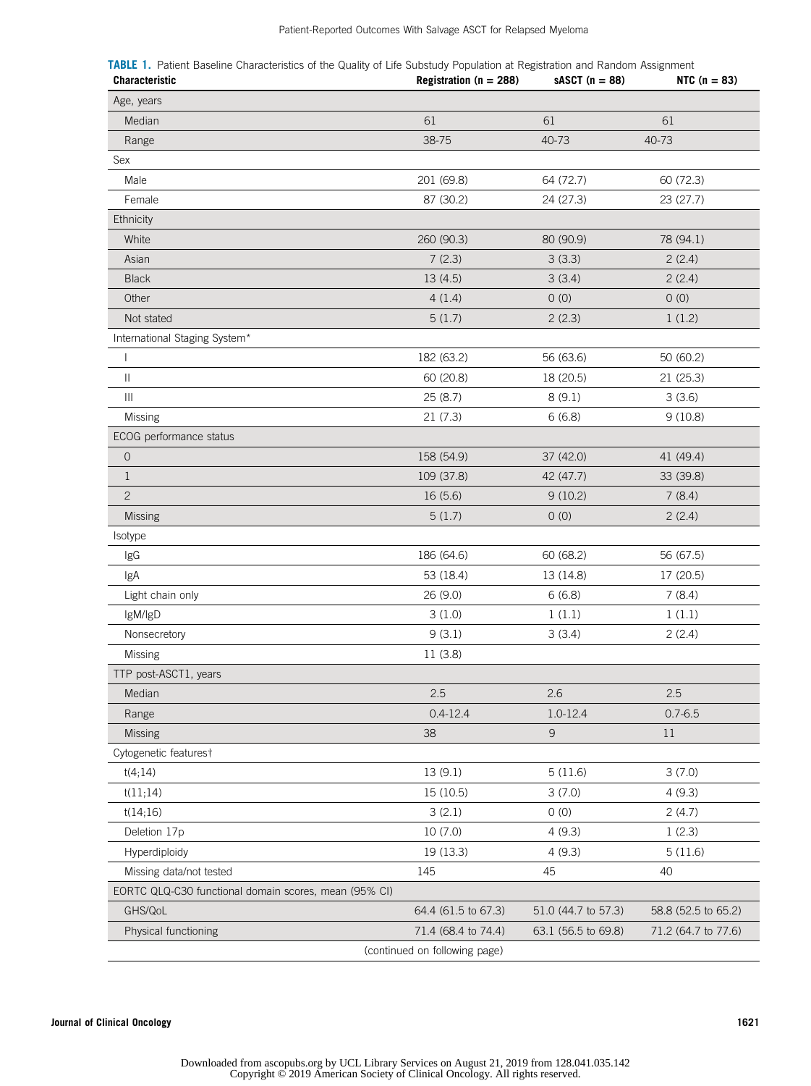| <b>Characteristic</b>                                 | Registration ( $n = 288$ )    | $sASCT$ (n = 88)    | NTC $(n = 83)$      |
|-------------------------------------------------------|-------------------------------|---------------------|---------------------|
| Age, years                                            |                               |                     |                     |
| Median                                                | 61                            | 61                  | 61                  |
| Range                                                 | 38-75                         | 40-73               | 40-73               |
| Sex                                                   |                               |                     |                     |
| Male                                                  | 201 (69.8)                    | 64 (72.7)           | 60 (72.3)           |
| Female                                                | 87 (30.2)                     | 24 (27.3)           | 23 (27.7)           |
| Ethnicity                                             |                               |                     |                     |
| White                                                 | 260 (90.3)                    | 80 (90.9)           | 78 (94.1)           |
| Asian                                                 | 7(2.3)                        | 3(3.3)              | 2(2.4)              |
| <b>Black</b>                                          | 13(4.5)                       | 3(3.4)              | 2(2.4)              |
| Other                                                 | 4(1.4)                        | 0(0)                | 0(0)                |
| Not stated                                            | 5(1.7)                        | 2(2.3)              | 1(1.2)              |
| International Staging System*                         |                               |                     |                     |
| T                                                     | 182 (63.2)                    | 56 (63.6)           | 50 (60.2)           |
| $\mathop{\rm II}\nolimits$                            | 60 (20.8)                     | 18 (20.5)           | 21 (25.3)           |
| $\begin{array}{c} \hline \end{array}$                 | 25 (8.7)                      | 8(9.1)              | 3(3.6)              |
| Missing                                               | 21(7.3)                       | 6(6.8)              | 9(10.8)             |
| ECOG performance status                               |                               |                     |                     |
| 0                                                     | 158 (54.9)                    | 37 (42.0)           | 41 (49.4)           |
| $\mathbf 1$                                           | 109 (37.8)                    | 42 (47.7)           | 33 (39.8)           |
| $\overline{c}$                                        | 16 (5.6)                      | 9(10.2)             | 7(8.4)              |
| <b>Missing</b>                                        | 5(1.7)                        | 0(0)                | 2(2.4)              |
| Isotype                                               |                               |                     |                     |
| IgG                                                   | 186 (64.6)                    | 60 (68.2)           | 56 (67.5)           |
| IgA                                                   | 53 (18.4)                     | 13 (14.8)           | 17 (20.5)           |
| Light chain only                                      | 26 (9.0)                      | 6(6.8)              | 7(8.4)              |
| IgM/IgD                                               | 3(1.0)                        | 1(1.1)              | 1(1.1)              |
| Nonsecretory                                          | 9(3.1)                        | 3(3.4)              | 2(2.4)              |
| Missing                                               | 11(3.8)                       |                     |                     |
| TTP post-ASCT1, years                                 |                               |                     |                     |
| Median                                                | 2.5                           | 2.6                 | 2.5                 |
| Range                                                 | $0.4 - 12.4$                  | 1.0-12.4            | $0.7 - 6.5$         |
| <b>Missing</b>                                        | 38                            | $\mathsf 9$         | 11                  |
| Cytogenetic features†                                 |                               |                     |                     |
| t(4;14)                                               | 13 (9.1)                      | 5(11.6)             | 3(7.0)              |
| t(11;14)                                              | 15 (10.5)                     | 3(7.0)              | 4(9.3)              |
| t(14;16)                                              | 3(2.1)                        | 0(0)                | 2(4.7)              |
| Deletion 17p                                          | 10(7.0)                       | 4(9.3)              | 1(2.3)              |
| Hyperdiploidy                                         | 19 (13.3)                     | 4(9.3)              | 5(11.6)             |
| Missing data/not tested                               | 145                           | 45                  | 40                  |
| EORTC QLQ-C30 functional domain scores, mean (95% CI) |                               |                     |                     |
| GHS/QoL                                               | 64.4 (61.5 to 67.3)           | 51.0 (44.7 to 57.3) | 58.8 (52.5 to 65.2) |
| Physical functioning                                  | 71.4 (68.4 to 74.4)           | 63.1 (56.5 to 69.8) | 71.2 (64.7 to 77.6) |
|                                                       | (continued on following page) |                     |                     |

<span id="page-4-0"></span>

| <b>TABLE 1.</b> Patient Baseline Characteristics of the Quality of Life Substudy Population at Registration and Random Assignment |  |
|-----------------------------------------------------------------------------------------------------------------------------------|--|
| Characteristic<br>Registration (n = 288)<br>NTC $(n =$<br>$sASCT (n = 88)$                                                        |  |

Journal of Clinical Oncology 1621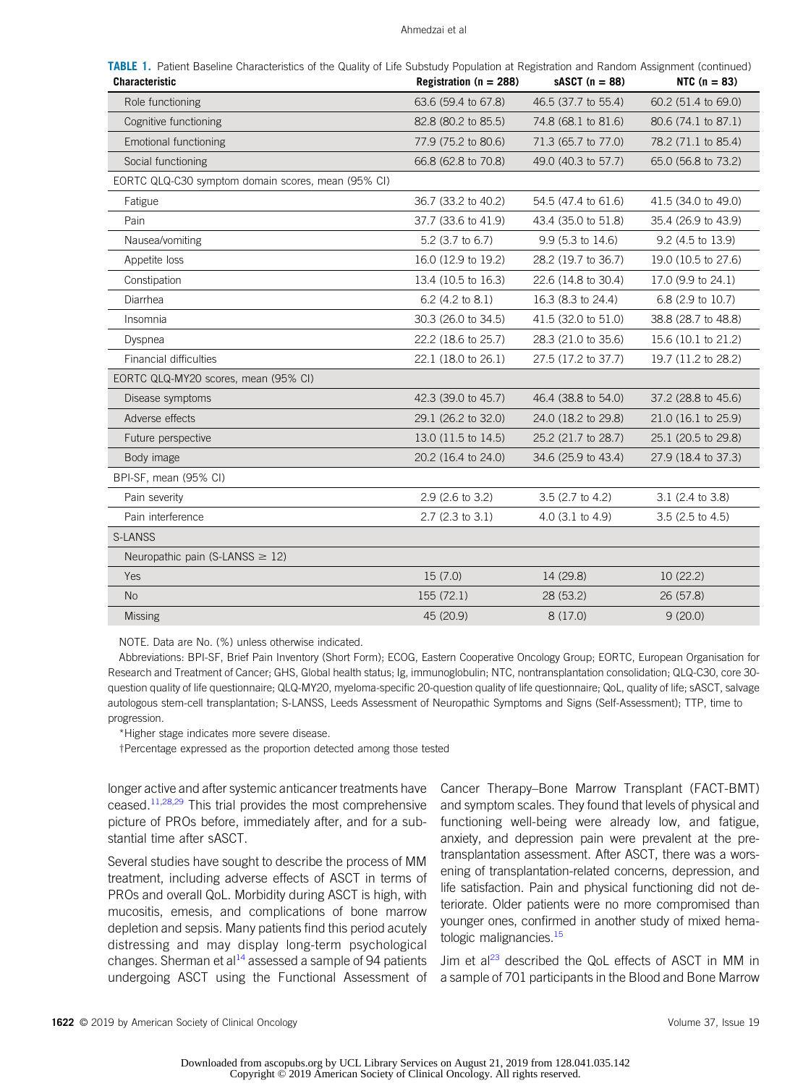#### Ahmedzai et al

| TABLE 1. Patient Baseline Characteristics of the Quality of Life Substudy Population at Registration and Random Assignment (continued) |                            |                    |                  |
|----------------------------------------------------------------------------------------------------------------------------------------|----------------------------|--------------------|------------------|
| Characteristic                                                                                                                         | Registration ( $n = 288$ ) | sASCT ( $n = 88$ ) | NTC ( $n = 83$ ) |

| unaracteristic                                     | $RegV$ istration (n = 288) | $SA3U1 (I = 88)$    | $N1U(1 = 83)$              |
|----------------------------------------------------|----------------------------|---------------------|----------------------------|
| Role functioning                                   | 63.6 (59.4 to 67.8)        | 46.5 (37.7 to 55.4) | 60.2 (51.4 to 69.0)        |
| Cognitive functioning                              | 82.8 (80.2 to 85.5)        | 74.8 (68.1 to 81.6) | 80.6 (74.1 to 87.1)        |
| Emotional functioning                              | 77.9 (75.2 to 80.6)        | 71.3 (65.7 to 77.0) | 78.2 (71.1 to 85.4)        |
| Social functioning                                 | 66.8 (62.8 to 70.8)        | 49.0 (40.3 to 57.7) | 65.0 (56.8 to 73.2)        |
| EORTC QLQ-C30 symptom domain scores, mean (95% CI) |                            |                     |                            |
| Fatigue                                            | 36.7 (33.2 to 40.2)        | 54.5 (47.4 to 61.6) | 41.5 (34.0 to 49.0)        |
| Pain                                               | 37.7 (33.6 to 41.9)        | 43.4 (35.0 to 51.8) | 35.4 (26.9 to 43.9)        |
| Nausea/vomiting                                    | 5.2 (3.7 to 6.7)           | 9.9 (5.3 to 14.6)   | 9.2 (4.5 to 13.9)          |
| Appetite loss                                      | 16.0 (12.9 to 19.2)        | 28.2 (19.7 to 36.7) | 19.0 (10.5 to 27.6)        |
| Constipation                                       | 13.4 (10.5 to 16.3)        | 22.6 (14.8 to 30.4) | 17.0 (9.9 to 24.1)         |
| Diarrhea                                           | 6.2 (4.2 to 8.1)           | 16.3 (8.3 to 24.4)  | 6.8 (2.9 to 10.7)          |
| Insomnia                                           | 30.3 (26.0 to 34.5)        | 41.5 (32.0 to 51.0) | 38.8 (28.7 to 48.8)        |
| Dyspnea                                            | 22.2 (18.6 to 25.7)        | 28.3 (21.0 to 35.6) | 15.6 (10.1 to 21.2)        |
| <b>Financial difficulties</b>                      | 22.1 (18.0 to 26.1)        | 27.5 (17.2 to 37.7) | 19.7 (11.2 to 28.2)        |
| EORTC QLQ-MY20 scores, mean (95% CI)               |                            |                     |                            |
| Disease symptoms                                   | 42.3 (39.0 to 45.7)        | 46.4 (38.8 to 54.0) | 37.2 (28.8 to 45.6)        |
| Adverse effects                                    | 29.1 (26.2 to 32.0)        | 24.0 (18.2 to 29.8) | 21.0 (16.1 to 25.9)        |
| Future perspective                                 | 13.0 (11.5 to 14.5)        | 25.2 (21.7 to 28.7) | 25.1 (20.5 to 29.8)        |
| Body image                                         | 20.2 (16.4 to 24.0)        | 34.6 (25.9 to 43.4) | 27.9 (18.4 to 37.3)        |
| BPI-SF, mean (95% CI)                              |                            |                     |                            |
| Pain severity                                      | 2.9 (2.6 to 3.2)           | 3.5 (2.7 to 4.2)    | 3.1 (2.4 to 3.8)           |
| Pain interference                                  | 2.7 (2.3 to 3.1)           | 4.0 (3.1 to 4.9)    | $3.5(2.5 \text{ to } 4.5)$ |
| <b>S-LANSS</b>                                     |                            |                     |                            |
| Neuropathic pain (S-LANSS $\geq$ 12)               |                            |                     |                            |
| Yes                                                | 15(7.0)                    | 14 (29.8)           | 10(22.2)                   |
| <b>No</b>                                          | 155 (72.1)                 | 28 (53.2)           | 26 (57.8)                  |
| <b>Missing</b>                                     | 45 (20.9)                  | 8(17.0)             | 9(20.0)                    |

NOTE. Data are No. (%) unless otherwise indicated.

Abbreviations: BPI-SF, Brief Pain Inventory (Short Form); ECOG, Eastern Cooperative Oncology Group; EORTC, European Organisation for Research and Treatment of Cancer; GHS, Global health status; Ig, immunoglobulin; NTC, nontransplantation consolidation; QLQ-C30, core 30 question quality of life questionnaire; QLQ-MY20, myeloma-specific 20-question quality of life questionnaire; QoL, quality of life; sASCT, salvage autologous stem-cell transplantation; S-LANSS, Leeds Assessment of Neuropathic Symptoms and Signs (Self-Assessment); TTP, time to progression.

\*Higher stage indicates more severe disease.

†Percentage expressed as the proportion detected among those tested

longer active and after systemic anticancer treatments have ceased.<sup>[11,28](#page-11-0),[29](#page-11-0)</sup> This trial provides the most comprehensive picture of PROs before, immediately after, and for a substantial time after sASCT.

Several studies have sought to describe the process of MM treatment, including adverse effects of ASCT in terms of PROs and overall QoL. Morbidity during ASCT is high, with mucositis, emesis, and complications of bone marrow depletion and sepsis. Many patients find this period acutely distressing and may display long-term psychological changes. Sherman et al $14$  assessed a sample of 94 patients undergoing ASCT using the Functional Assessment of Cancer Therapy–Bone Marrow Transplant (FACT-BMT) and symptom scales. They found that levels of physical and functioning well-being were already low, and fatigue, anxiety, and depression pain were prevalent at the pretransplantation assessment. After ASCT, there was a worsening of transplantation-related concerns, depression, and life satisfaction. Pain and physical functioning did not deteriorate. Older patients were no more compromised than younger ones, confirmed in another study of mixed hematologic malignancies.<sup>15</sup>

Jim et  $al^{23}$  $al^{23}$  $al^{23}$  described the QoL effects of ASCT in MM in a sample of 701 participants in the Blood and Bone Marrow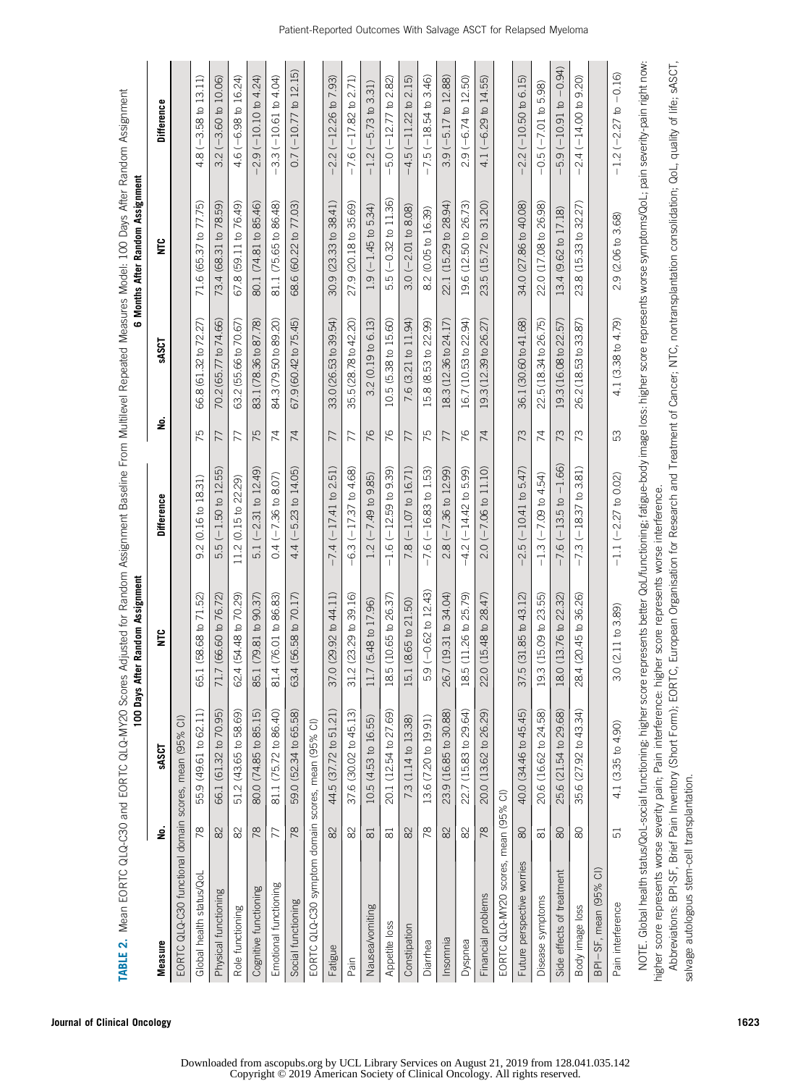<span id="page-6-0"></span>

| TABLE 2. Mean EORTC QLQ-C30 and EORTC QLQ-MY20 Scores Adjusted for Random Assignment Baseline From Multilevel Repeated Measures Model: 100 Days After Random Assignment                                                          |                     | 100 Days                            | After Random Assignment                  |                                                        |                |                                        | <b>6 Months After Random Assignment</b>         |                                                                                                                                       |
|----------------------------------------------------------------------------------------------------------------------------------------------------------------------------------------------------------------------------------|---------------------|-------------------------------------|------------------------------------------|--------------------------------------------------------|----------------|----------------------------------------|-------------------------------------------------|---------------------------------------------------------------------------------------------------------------------------------------|
| Measure                                                                                                                                                                                                                          | ş                   | <b>SASCT</b>                        | Ë                                        | <b>Difference</b>                                      | ş              | <b>SASCT</b>                           | Ë                                               | <b>Difference</b>                                                                                                                     |
| EORTC QLQ-C30 functional domain scores, mean (95% Cl)                                                                                                                                                                            |                     |                                     |                                          |                                                        |                |                                        |                                                 |                                                                                                                                       |
| Global health status/QoL                                                                                                                                                                                                         | $\frac{8}{2}$       | Ξ.<br>55.9 (49.61 to 62.            | 71.52)<br>65.1 (58.68 to                 | 18.31)<br>$\Omega$<br>(0.16)<br>$\mathcal{N}_{1}$<br>σ | 75             | 66.8 (61.32 to 72.27)                  | to 77.75)<br>71.6 (65.37                        | to 13.11)<br>$-3.58$<br>$\frac{4}{3}$                                                                                                 |
| Physical functioning                                                                                                                                                                                                             | $\approx$           | 66.1 (61.32 to 70.95)               | 71.7 (66.60 to 76.72)                    | $5.5 (-1.50 to 12.55)$                                 | 77             | 70.2 (65.77 to 74.66)                  | 73.4 (68.31 to 78.59)                           | $3.2(-3.60 \text{ to } 10.06)$                                                                                                        |
| Role functioning                                                                                                                                                                                                                 | $\approx$           | 51.2 (43.65 to 58.69)               | 62.4 (54.48 to 70.29)                    | 22.29)<br>$(0.15$ to<br>11.2                           | 77             | 63.2 (55.66 to 70.67)                  | to 76.49<br>67.8 (59.11)                        | to 16.24)<br>$-6.98$<br>4.6 (                                                                                                         |
| Cognitive functioning                                                                                                                                                                                                            | 78                  | 80.0 (74.85 to 85.15)               | 85.1 (79.81 to 90.37)                    | 5.1 $(-2.31$ to 12.49)                                 | 75             | 83.1 (78.36 to 87.78)                  | 80.1 (74.81 to 85.46)                           | $2.9(-10.10 to 4.24)$                                                                                                                 |
| Emotional functioning                                                                                                                                                                                                            | $\overline{7}$      | 81.1 (75.72 to 86.40)               | 86.83)<br>81.4 (76.01 to                 | $0.4 (-7.36 to 8.07)$                                  | $\overline{7}$ | 84.3 (79.50 to 89.20)                  | 81.1 (75.65 to 86.48)                           | to 4.04)<br>$3.3(-10.61)$                                                                                                             |
| Social functioning                                                                                                                                                                                                               | $\overline{78}$     | 59.0 (52.34 to 65.58)               | 63.4 (56.58 to 70.17)                    | $4.4 (-5.23 to 14.05)$                                 | 74             | 67.9 (60.42 to 75.45)                  | 68.6 (60.22 to 77.03)                           | $0.7 (-10.77$ to 12.15)                                                                                                               |
| EORTC QLQ-C30 symptom domain scores, mean (95% Cl)                                                                                                                                                                               |                     |                                     |                                          |                                                        |                |                                        |                                                 |                                                                                                                                       |
| Fatigue                                                                                                                                                                                                                          | $\approx$           | 44.5 (37.72 to 51.21)               | 37.0 (29.92 to 44.11)                    | $-7.4$ ( $-17.41$ to 2.51)                             | 77             | 33.0 (26.53 to 39.54)                  | 30.9 (23.33 to 38.41)                           | $2.2(-12.26$ to 7.93)                                                                                                                 |
| Pain                                                                                                                                                                                                                             | $\approx$           | 37.6 (30.02 to 45.13)               | 39.16)<br>31.2 (23.29 to                 | $6.3 (-17.37 to 4.68)$                                 | Z              | 35.5 (28.78 to 42.20)                  | 35.69)<br>$\beta$<br>27.9 (20.18)               | 2.71)<br>$7.6(-17.82)$ to                                                                                                             |
| Nausea/vomiting                                                                                                                                                                                                                  | $\Xi$               | 10.5 (4.53 to 16.55)                | 1.7 (5.48 to 17.96)                      | $1.2 (-7.49)$ to 9.85)                                 | 76             | 3.2 $(0.19 \text{ to } 6.13)$          | $1.9(-1.45$ to 5.34)                            | $-1.2(-5.73$ to 3.31)                                                                                                                 |
| Appetite loss                                                                                                                                                                                                                    | $\approx$           | 20.1 (12.54 to 27.69)               | 8.5 (10.65 to 26.37)                     | $-1.6$ ( $-12.59$ to 9.39)                             | 76             | 10.5 (5.38 to 15.60)                   | $5(-0.32 \text{ to } 11.36)$<br>ம்              | $5.0 (-12.77 \text{ to } 2.82)$                                                                                                       |
| Constipation                                                                                                                                                                                                                     | $\approx$           | 7.3 (1.14 to 13.38)                 | 5.1 (8.65 to 21.50)                      | $.8(-1.07 to 16.71)$                                   | 77             | 7.6 (3.21 to 11.94)                    | $3.0 (-2.01 to 8.08)$                           | $-4.5(-11.22$ to 2.15)                                                                                                                |
| Diarrhea                                                                                                                                                                                                                         | 78                  | 13.6 (7.20 to 19.91)                | $5.9 (-0.62 to 12.43)$                   | $7.6(-16.83 to 1.53)$                                  | 75             | 15.8 (8.53 to 22.99)                   | 8.2 (0.05 to 16.39)                             | $7.5(-18.54$ to 3.46)                                                                                                                 |
| Insomnia                                                                                                                                                                                                                         | $\approx$           | 23.9 (16.85 to 30.88)               | 26.7 (19.31 to 34.04)                    | $2.8$ ( $-7.36$ to 12.99)                              | 77             | 18.3 (12.36 to 24.17)                  | 22.1 (15.29 to 28.94)                           | 3.9 ( $-5.17$ to 12.88)                                                                                                               |
| Dyspnea                                                                                                                                                                                                                          | $\approx$           | 22.7 (15.83 to 29.64)               | 18.5 (11.26 to 25.79)                    | $-4.2$ ( $-14.42$ to 5.99)                             | 76             | 16.7 (10.53 to 22.94)                  | 19.6 (12.50 to 26.73)                           | $2.9(-6.74 \text{ to } 12.50)$                                                                                                        |
| Financial problems                                                                                                                                                                                                               | 78                  | to 26.29)<br>20.0 (13.62            | 28.47)<br>$\overline{c}$<br>22.0 (15.48) | 11.10)<br>$2.0 (-7.06 to$                              | 74             | .3(12.39 to 26.27)<br>$\overline{9}$ . | 31.20)<br>$\overline{c}$<br>(15.72)<br>5<br>23. | 14.55)<br>$\beta$<br>$-6.29$<br>4.1(                                                                                                  |
| EORTC QLQ-MY20 scores, mean (95% CI)                                                                                                                                                                                             |                     |                                     |                                          |                                                        |                |                                        |                                                 |                                                                                                                                       |
| Future perspective worries                                                                                                                                                                                                       | $\infty$            | 40.0 (34.46 to 45.45)               | 43.12)<br>37.5 (31.85 to                 | 5.47)<br>$2.5(-10.41)$                                 | 73             | 36.1 (30.60 to 41.68)                  | 34.0 (27.86 to 40.08)                           | 6.15<br>$2.2(-10.50 to$                                                                                                               |
| Disease symptoms                                                                                                                                                                                                                 | $\overline{\infty}$ | 20.6 (16.62 to 24.58)               | 9.3 (15.09 to 23.55)                     | $-1.3(-7.09 to 4.54)$                                  | $\overline{7}$ | 22.5 (18.34 to 26.75)                  | 22.0 (17.08 to 26.98)                           | $-0.5(-7.01$ to 5.98)                                                                                                                 |
| Side effects of treatment                                                                                                                                                                                                        | $\rm 80$            | $(21.54 \text{ to } 29.68)$<br>25.6 | 22.32)<br>8.0 (13.76 to                  | $-1.66$<br>$-7.6$ ( $-13.5$ to                         | 73             | .57)<br>19.3 (16.08 to 22              | 17.18)<br>$\beta$<br>13.4 (9.62                 | $-0.94$<br>$-10.91$ to<br>5.9                                                                                                         |
| Body image loss                                                                                                                                                                                                                  | 80                  | 35.6 (27.92 to 43.34)               | 36.26)<br>28.4 (20.45 to                 | $-7.3 (-18.37 to 3.81)$                                | 73             | 87)<br>26.2 (18.53 to 33.              | to 32.27)<br>23.8 (15.33                        | 9.20<br>$2.4 (-14.00 to$                                                                                                              |
| $\widehat{\sigma}$<br>-SF, mean (95%<br>$\overline{\mathsf{B}}$                                                                                                                                                                  |                     |                                     |                                          |                                                        |                |                                        |                                                 |                                                                                                                                       |
| Pain interference                                                                                                                                                                                                                | 51                  | 4.1 (3.35 to 4.90)                  | 3.0 (2.11 to 3.89)                       | $-1.1$ ( $-2.27$ to 0.02)                              | 53             | 4.1 (3.38 to 4.79)                     | 2.9 (2.06 to 3.68)                              | $-1.2(-2.27$ to $-0.16$ )                                                                                                             |
| NOTE. Global health status/QoL-social functioning: higher score                                                                                                                                                                  |                     |                                     |                                          |                                                        |                |                                        |                                                 | represents better QoL/functioning; fatigue-body image loss: higher score represents worse symptoms/QoL; pain severity-pain right now: |
| higher score represents worse severity pain, Pain interference: higher score represents worse interference.<br>Abbreviations: BPI-SF, Brief Pain Inventory (Short Form); EORTC, European Organisation for Research and Treatment |                     |                                     |                                          |                                                        |                |                                        |                                                 |                                                                                                                                       |

Ċ ģ Ċ  $\sum_{i=1}^{n}$ Į ś  $\frac{1}{2}$  $\frac{1}{4}$  $\frac{a}{a}$  $\frac{1}{4}$ Š. ť ś ć

salvage autologous stem-cell transplantation.

salvage autologous stem-cell transplantation.

Downloaded from ascopubs.org by UCL Library Services on August 21, 2019 from 128.041.035.142 Copyright © 2019 American Society of Clinical Oncology. All rights reserved.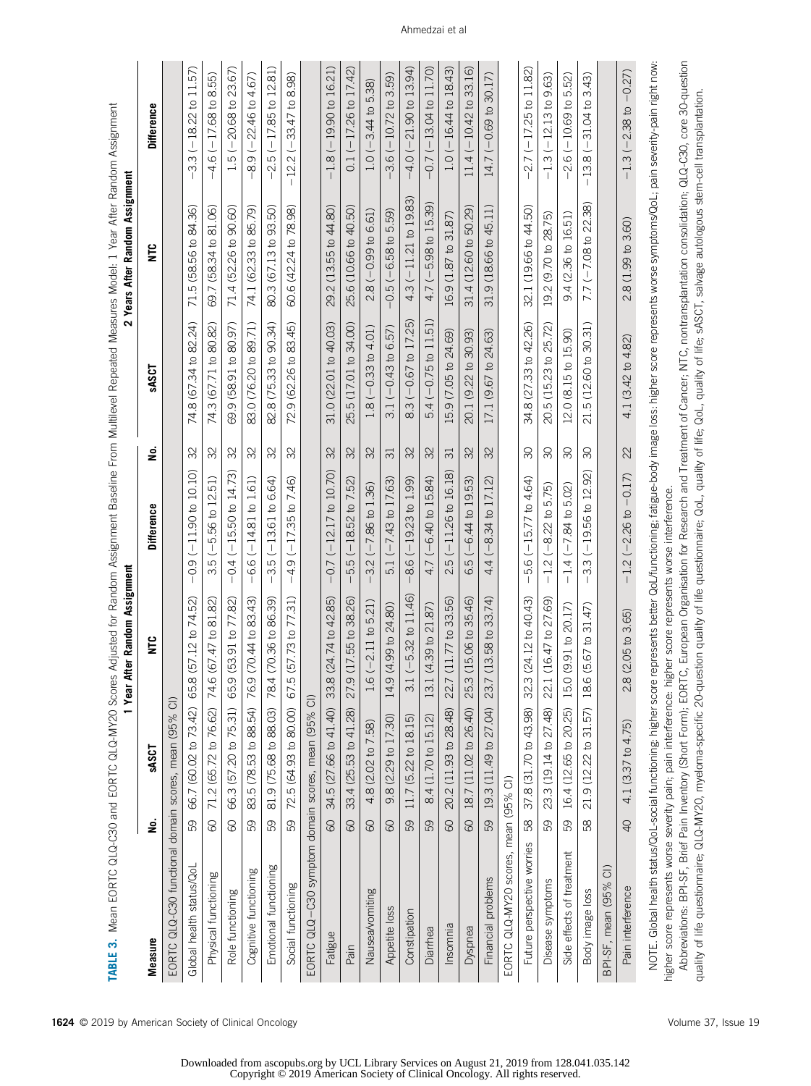<span id="page-7-0"></span>

| TABLE 3. Mean EORTC QLQ-030 and EORTC QLQ-MY20 Scores Adjusted for Random Assignment Baseline From Multilevel Repeated Measures Model: 1 Year After Random Assignment                                                                                                      |                |                          | After Random Assignment<br>1 Year /         |                                                                                                                                                                                               |                          |                                                           | 2 Years After Random Assignment                        |                                                   |
|----------------------------------------------------------------------------------------------------------------------------------------------------------------------------------------------------------------------------------------------------------------------------|----------------|--------------------------|---------------------------------------------|-----------------------------------------------------------------------------------------------------------------------------------------------------------------------------------------------|--------------------------|-----------------------------------------------------------|--------------------------------------------------------|---------------------------------------------------|
| Measure                                                                                                                                                                                                                                                                    | غ<br>ع         | <b>SASCT</b>             | Ë                                           | <b>Difference</b>                                                                                                                                                                             | ġ                        | <b>SASCT</b>                                              | Ë                                                      | <b>Difference</b>                                 |
| EORTC QLQ-C30 functional domain scores, mean (95% CI)                                                                                                                                                                                                                      |                |                          |                                             |                                                                                                                                                                                               |                          |                                                           |                                                        |                                                   |
| Global health status/QoL                                                                                                                                                                                                                                                   | 89             | 66.7 (60.02 to 73.42)    | $(57.12 \text{ to } 74.52)$<br>65.8         | $(-11.90 \text{ to } 10.10)$<br>$-0.9$                                                                                                                                                        | 32                       | 74.8 (67.34 to 82.24)                                     | 71.5 (58.56 to 84.36)                                  | to 11.57<br>$(-18.22)$<br>3.3                     |
| Physical functioning                                                                                                                                                                                                                                                       | 8              | 71.2 (65.72 to 76.62)    | $(67.47 \text{ to } 81.82)$<br>74.6         | $3.5(-5.56 to 12.51)$                                                                                                                                                                         | SS                       | 74.3 (67.71 to 80.82)                                     | 69.7 (58.34 to 81.06)                                  | $-4.6(-17.68$ to 8.55)                            |
| Role functioning                                                                                                                                                                                                                                                           | $\odot$        | 66.3 (57.20 to 75.31)    | $(53.91 \text{ to } 77.82)$<br>65.9         | $-0.4$ ( $-15.50$ to 14.73)                                                                                                                                                                   | SS                       | 9(58.91 to 80.97)<br>ලි.                                  | 71.4 (52.26 to 90.60)                                  | 23.67)<br>$.5(-20.68)$<br>$\div$                  |
| Cognitive functioning                                                                                                                                                                                                                                                      | 89             | 83.5 (78.53 to 88.54)    | $(70.44 \text{ to } 83.43)$<br>76.9         | $-6.6(-14.81$ to $1.61)$                                                                                                                                                                      | SS                       | 83.0 (76.20 to 89.71)                                     | 74.1 (62.33 to 85.79)                                  | 8.9 (-22.46 to 4.67)                              |
| Emotional functioning                                                                                                                                                                                                                                                      | 59             | 81.9 (75.68 to 88.03)    | $(70.36 \text{ to } 86.39)$<br>78.4         | 6.64)<br>$5(-13.61$ to<br>ന്<br>$\mathbf{I}$                                                                                                                                                  | 32                       | (75.33 to 90.34)<br>$\infty$<br>$\infty$                  | 93.50)<br>(67.13 to<br>80.3                            | $-2.5(-17.85$ to $12.81)$                         |
| Social functioning                                                                                                                                                                                                                                                         | 59             | 72.5 (64.93 to 80.00)    | 77.31)<br>(57.73)<br>67.5                   | 7.46)<br>$\beta$<br>$4.9(-17.35$<br>$\overline{1}$                                                                                                                                            | 32                       | 83.45)<br>(62.26 to<br>$\overline{O}$<br>72.              | 78.98)<br>(42.24 to<br>60.6                            | 8.98)<br>$\beta$<br>$(-33.47)$<br>12.2<br>$\perp$ |
| EORTC QLQ-C30 symptom domain scores, mean (95% CI)                                                                                                                                                                                                                         |                |                          |                                             |                                                                                                                                                                                               |                          |                                                           |                                                        |                                                   |
| Fatigue                                                                                                                                                                                                                                                                    | 8              | 34.5 (27.66 to 41.40)    | $(24.74$ to $42.85)$<br>33.8                | $-0.7(-12.17$ to 10.70)                                                                                                                                                                       | 32                       | 31.0 (22.01 to 40.03)                                     | 29 2 (13.55 to 44.80)                                  | $(-19.90 t 0 16.21)$<br>$-1.8$                    |
| Pain                                                                                                                                                                                                                                                                       | 8              | 33 4 (25.53 to 41.28)    | $(17.55 \text{ to } 38.26)$<br>27.9         | $-5.5(-18.52$ to 7.52)                                                                                                                                                                        | 32                       | 25.5 (17.01 to 34.00)                                     | 25.6 (10.66 to 40.50)                                  | $0.1 (-17.26 \text{ to } 17.42)$                  |
| Nausea/vomiting                                                                                                                                                                                                                                                            | $\infty$       | 4.8 (2.02 to 7.58)       | $1.6(-2.11$ to 5.21)                        | $3.2(-7.86 \text{ to } 1.36)$                                                                                                                                                                 | 32                       | $-0.33$ to 4.01)<br>1.8 <sub>1</sub>                      | $(-0.99 to 6.61)$<br>$\frac{8}{2}$                     | $1.0(-3.44 to 5.38)$                              |
| Appetite loss                                                                                                                                                                                                                                                              | $\infty$       | 9.8 (2.29 to 17.30)      | $(4.99 \text{ to } 24.80)$<br>14.9          | 5.1 ( $-7.43$ to 17.63)                                                                                                                                                                       | $\overline{\mathrm{31}}$ | $3.1 (-0.43 to 6.57)$                                     | $-0.5(-6.58$ to 5.59)                                  | $-3.6(-10.72 \text{ to } 3.59)$                   |
| Constipation                                                                                                                                                                                                                                                               | 89             | 18.15)<br>11.7 (5.22 to  | $-46$<br>$\frac{1}{1}$<br>$(-5.32)$<br>3.1  | $86(-19.23 \text{ to } 1.99)$                                                                                                                                                                 | 32                       | to 17.25)<br>$(-0.67)$<br>33                              | $(-11.21$ to $19.83)$<br>$4.\overline{3}$              | $-4.0(-21.90 to 13.94)$                           |
| Diarrhea                                                                                                                                                                                                                                                                   | 89             | 8.4 (1.70 to 15.12)      | $(4.39 \text{ to } 21.87)$<br>13.1          | $4.7 (-6.40 to 15.84)$                                                                                                                                                                        | 32                       | $5.4 (-0.75 \text{ to } 11.51)$                           | $4.7 (-5.98 to 15.39)$                                 | $-0.7(-13.04 \text{ to } 11.70)$                  |
| Insomnia                                                                                                                                                                                                                                                                   | 8              | 20.2 (11.93 to 28.48)    | $(11.77)$ to 33.56)<br>22.7                 | $2.5(-11.26 \text{ to } 16.18)$                                                                                                                                                               | $\overline{31}$          | 15.9 (7.05 to 24.69)                                      | 16.9 (1.87 to 31.87)                                   | 1.0 ( $-16.44$ to 18.43)                          |
| Dyspnea                                                                                                                                                                                                                                                                    | 8              | 18.7 (11.02 to 26.40)    | $(15.06 \text{ to } 35.46)$<br>25.3         | 6.5 (-6.44 to 19.53)                                                                                                                                                                          | 32                       | 20.1 (9.22 to 30.93)                                      | 31.4 (12.60 to 50.29)                                  | $11.4 (-10.42$ to 33.16)                          |
| Financial problems                                                                                                                                                                                                                                                         | 59             | 27.04)<br>19.3 (11.49 to | 33.74)<br>.58 <sub>to</sub><br>(13.<br>23.7 | 17.12)<br>$\overline{c}$<br>$\ddot{\mathcal{L}}$<br>$(-8)$<br>4.4                                                                                                                             | 32                       | (63)<br>24.<br>(9.67)<br>17.1                             | 45.11)<br>(18.66t)<br>$\overline{O}$<br>$\overline{3}$ | 30.17)<br>$\overline{c}$<br>$14.7(-0.69$          |
| EORTC QLQ-MY20 scores, mean (95% CI)                                                                                                                                                                                                                                       |                |                          |                                             |                                                                                                                                                                                               |                          |                                                           |                                                        |                                                   |
| Future perspective worries                                                                                                                                                                                                                                                 | 89             | 37.8 (31.70 to 43.98)    | $(24.12$ to $40.43)$<br>32.3                | 5.6 ( $-15.77$ to 4.64)<br>$\mathbf{I}$                                                                                                                                                       | $\infty$                 | 34.8 (27.33 to 42.26)                                     | 32.1 (19.66 to 44.50)                                  | $-2.7(-17.25$ to $11.82$ )                        |
| Disease symptoms                                                                                                                                                                                                                                                           | 89             | 23.3 (19.14 to 27.48)    | $(16.47 \text{ to } 27.69)$<br>22.1         | 5.75)<br>$-1.2(-8.22)$                                                                                                                                                                        | $\infty$                 | 20.5 (15.23 to 25.72)                                     | 19.2 (9.70 to 28.75)                                   | $-1.3(-12.13$ to 9.63)                            |
| Side effects of treatment                                                                                                                                                                                                                                                  | 89             | 16.4 (12.65 to 20.25)    | (9.91 to 20.17)<br>15.0                     | $-1.4 (-7.84$ to 5.02)                                                                                                                                                                        | $\infty$                 | (8.15 to 15.90)<br>12.0                                   | 9.4 (2.36 to 16.51)                                    | 5.52)<br>$-2.6(-10.69$ to                         |
| Body image loss                                                                                                                                                                                                                                                            | 89             | 21.9 (12.22 to 31.57)    | 31.47<br>$\overline{c}$<br>(5.67)<br>18.6   | $(-19.56 \text{ to } 12.92)$<br>3.3                                                                                                                                                           | $\infty$                 | $.5(12.60 \text{ to } 30.31)$<br>$\overline{\mathcal{L}}$ | $7.7 (-7.08 to 22.38)$                                 | 3.43<br>$\beta$<br>$(-31.04)$<br>$-13.8$          |
| BPI-SF, mean (95% CI)                                                                                                                                                                                                                                                      |                |                          |                                             |                                                                                                                                                                                               |                          |                                                           |                                                        |                                                   |
| Pain interference                                                                                                                                                                                                                                                          | $\overline{P}$ | 4.1 (3.37 to 4.75)       | 3.65)<br>(2.05t)<br>2.8                     | $-0.17$<br>$-1.2 (-2.26)$                                                                                                                                                                     | 22                       | $(3.42 \text{ to } 4.82)$<br>$\frac{1}{4}$                | 2.8 (1.99 to 3.60)                                     | $-0.27$<br>$-1.3(-2.38)$                          |
| NOTE. Global health status/QoL-social functioning: higher score represents better QoL/functioning; fatigue-body image loss. higher score represents worse symptoms/QoL; pain severity-pain right now<br>higher score represents worse severity pain; pain interference: hi |                |                          |                                             | gher score represents worse interference                                                                                                                                                      |                          |                                                           |                                                        |                                                   |
|                                                                                                                                                                                                                                                                            |                |                          |                                             | Abbreviations: BPI-SF, Brief Pain Inventory (Short Form); EORTC, European Organisation for Research and Treatment of Cancer; NTC, nontransplantation consolidation, QLQ-C30, core 30-question |                          |                                                           |                                                        |                                                   |

Downloaded from ascopubs.org by UCL Library Services on August 21, 2019 from 128.041.035.142 Copyright © 2019 American Society of Clinical Oncology. All rights reserved.

1624 © 2019 by American Society of Clinical Oncology **Volume 37, Issue 19** Volume 37, Issue 19

Abbreviations: BPI-SF, Brief Pain Inventory (Short Form); EORTC, European Organisation for Research and Treatment of Cancer; NTC, nontransplantation consolidation; QLQ-C30, core 30-question quality of life questionnaire; QLQ-MY20, myeloma-specific 20-question quality of life questionnaire; QoL, quality of life; QoL, quality of life; sASCT, salvage autologous stem-cell transplantation.

quality of life questionnaire; QLQ-MY20, myeloma-specific 20-question quality of life ,QoL, quality of life; QoL, quality of life; sASCT, salvage autologous stem-cell transplantation.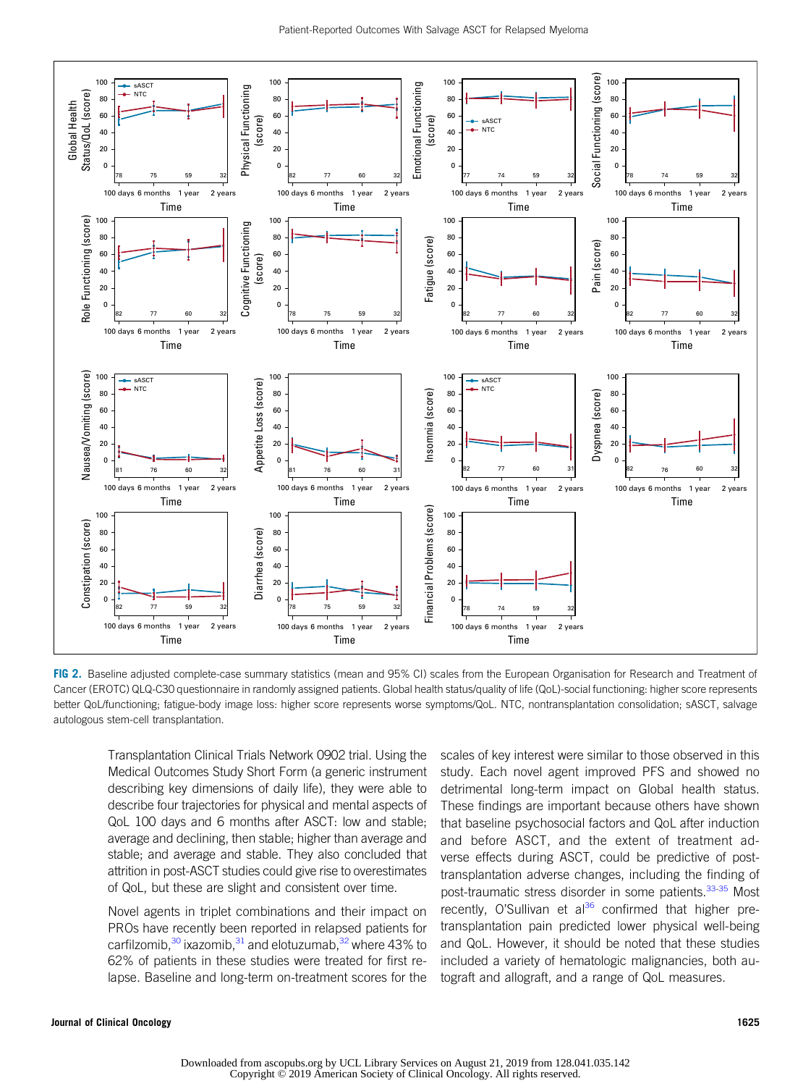<span id="page-8-0"></span>

FIG 2. Baseline adjusted complete-case summary statistics (mean and 95% CI) scales from the European Organisation for Research and Treatment of Cancer (EROTC) QLQ-C30 questionnaire in randomly assigned patients. Global health status/quality of life (QoL)-social functioning: higher score represents better QoL/functioning; fatigue-body image loss: higher score represents worse symptoms/QoL. NTC, nontransplantation consolidation; sASCT, salvage autologous stem-cell transplantation.

Transplantation Clinical Trials Network 0902 trial. Using the Medical Outcomes Study Short Form (a generic instrument describing key dimensions of daily life), they were able to describe four trajectories for physical and mental aspects of QoL 100 days and 6 months after ASCT: low and stable; average and declining, then stable; higher than average and stable; and average and stable. They also concluded that attrition in post-ASCT studies could give rise to overestimates of QoL, but these are slight and consistent over time.

Novel agents in triplet combinations and their impact on PROs have recently been reported in relapsed patients for carfilzomib,  $30$  ixazomib,  $31$  and elotuzumab,  $32$  where 43% to 62% of patients in these studies were treated for first relapse. Baseline and long-term on-treatment scores for the scales of key interest were similar to those observed in this study. Each novel agent improved PFS and showed no detrimental long-term impact on Global health status. These findings are important because others have shown that baseline psychosocial factors and QoL after induction and before ASCT, and the extent of treatment adverse effects during ASCT, could be predictive of posttransplantation adverse changes, including the finding of post-traumatic stress disorder in some patients.<sup>[33-35](#page-11-0)</sup> Most recently, O'Sullivan et al<sup>[36](#page-11-0)</sup> confirmed that higher pretransplantation pain predicted lower physical well-being and QoL. However, it should be noted that these studies included a variety of hematologic malignancies, both autograft and allograft, and a range of QoL measures.

Downloaded from ascopubs.org by UCL Library Services on August 21, 2019 from 128.041.035.142 Copyright © 2019 American Society of Clinical Oncology. All rights reserved.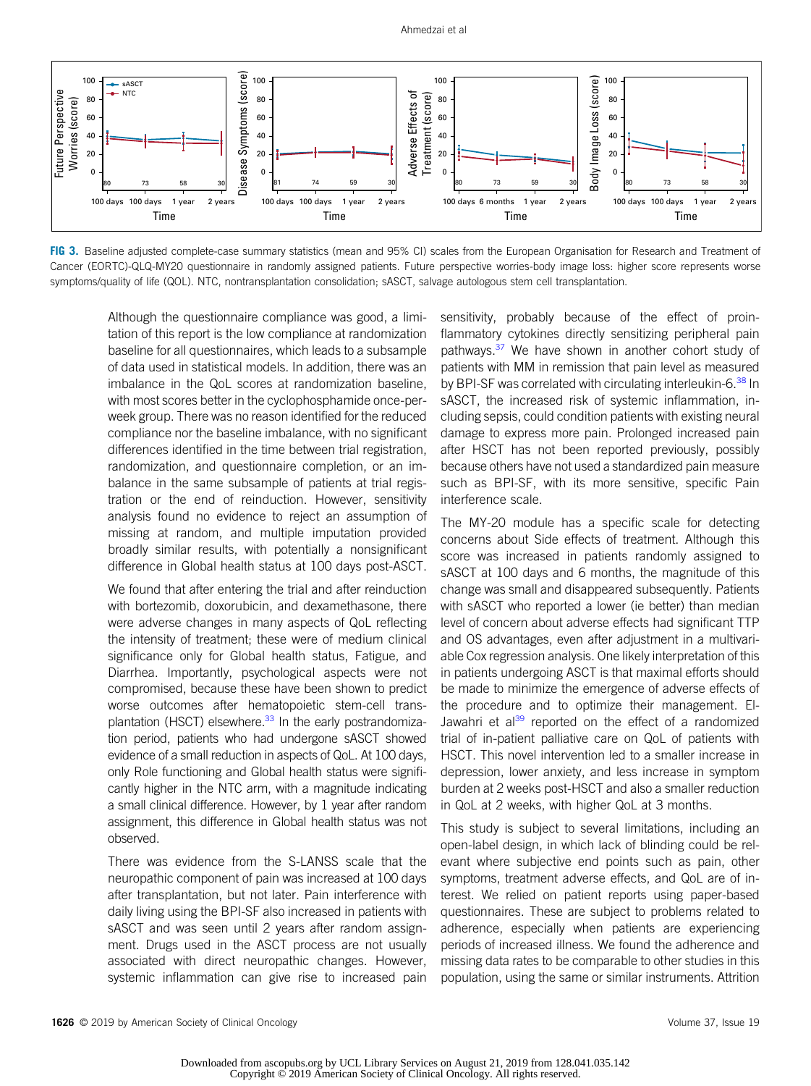<span id="page-9-0"></span>

FIG 3. Baseline adjusted complete-case summary statistics (mean and 95% CI) scales from the European Organisation for Research and Treatment of Cancer (EORTC)-QLQ-MY20 questionnaire in randomly assigned patients. Future perspective worries-body image loss: higher score represents worse symptoms/quality of life (QOL). NTC, nontransplantation consolidation; sASCT, salvage autologous stem cell transplantation.

Although the questionnaire compliance was good, a limitation of this report is the low compliance at randomization baseline for all questionnaires, which leads to a subsample of data used in statistical models. In addition, there was an imbalance in the QoL scores at randomization baseline, with most scores better in the cyclophosphamide once-perweek group. There was no reason identified for the reduced compliance nor the baseline imbalance, with no significant differences identified in the time between trial registration, randomization, and questionnaire completion, or an imbalance in the same subsample of patients at trial registration or the end of reinduction. However, sensitivity analysis found no evidence to reject an assumption of missing at random, and multiple imputation provided broadly similar results, with potentially a nonsignificant difference in Global health status at 100 days post-ASCT.

We found that after entering the trial and after reinduction with bortezomib, doxorubicin, and dexamethasone, there were adverse changes in many aspects of QoL reflecting the intensity of treatment; these were of medium clinical significance only for Global health status, Fatigue, and Diarrhea. Importantly, psychological aspects were not compromised, because these have been shown to predict worse outcomes after hematopoietic stem-cell transplantation (HSCT) elsewhere.<sup>33</sup> In the early postrandomization period, patients who had undergone sASCT showed evidence of a small reduction in aspects of QoL. At 100 days, only Role functioning and Global health status were significantly higher in the NTC arm, with a magnitude indicating a small clinical difference. However, by 1 year after random assignment, this difference in Global health status was not observed.

There was evidence from the S-LANSS scale that the neuropathic component of pain was increased at 100 days after transplantation, but not later. Pain interference with daily living using the BPI-SF also increased in patients with sASCT and was seen until 2 years after random assignment. Drugs used in the ASCT process are not usually associated with direct neuropathic changes. However, systemic inflammation can give rise to increased pain sensitivity, probably because of the effect of proinflammatory cytokines directly sensitizing peripheral pain pathways.<sup>[37](#page-11-0)</sup> We have shown in another cohort study of patients with MM in remission that pain level as measured by BPI-SF was correlated with circulating interleukin-6.<sup>[38](#page-11-0)</sup> In sASCT, the increased risk of systemic inflammation, including sepsis, could condition patients with existing neural damage to express more pain. Prolonged increased pain after HSCT has not been reported previously, possibly because others have not used a standardized pain measure such as BPI-SF, with its more sensitive, specific Pain interference scale.

The MY-20 module has a specific scale for detecting concerns about Side effects of treatment. Although this score was increased in patients randomly assigned to sASCT at 100 days and 6 months, the magnitude of this change was small and disappeared subsequently. Patients with sASCT who reported a lower (ie better) than median level of concern about adverse effects had significant TTP and OS advantages, even after adjustment in a multivariable Cox regression analysis. One likely interpretation of this in patients undergoing ASCT is that maximal efforts should be made to minimize the emergence of adverse effects of the procedure and to optimize their management. El-Jawahri et al<sup>[39](#page-11-0)</sup> reported on the effect of a randomized trial of in-patient palliative care on QoL of patients with HSCT. This novel intervention led to a smaller increase in depression, lower anxiety, and less increase in symptom burden at 2 weeks post-HSCT and also a smaller reduction in QoL at 2 weeks, with higher QoL at 3 months.

This study is subject to several limitations, including an open-label design, in which lack of blinding could be relevant where subjective end points such as pain, other symptoms, treatment adverse effects, and QoL are of interest. We relied on patient reports using paper-based questionnaires. These are subject to problems related to adherence, especially when patients are experiencing periods of increased illness. We found the adherence and missing data rates to be comparable to other studies in this population, using the same or similar instruments. Attrition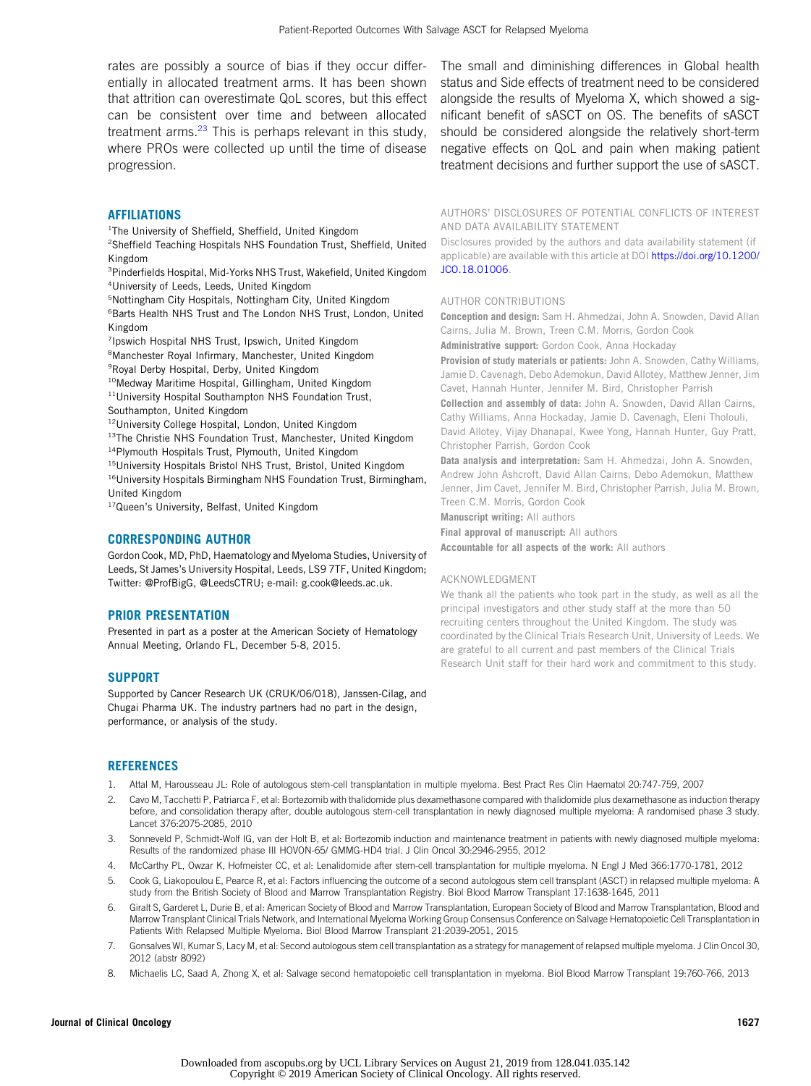<span id="page-10-0"></span>rates are possibly a source of bias if they occur differentially in allocated treatment arms. It has been shown that attrition can overestimate QoL scores, but this effect can be consistent over time and between allocated treatment arms. $^{23}$  $^{23}$  $^{23}$  This is perhaps relevant in this study, where PROs were collected up until the time of disease progression.

## **AFFILIATIONS**

<sup>1</sup>The University of Sheffield, Sheffield, United Kingdom

<sup>2</sup>Sheffield Teaching Hospitals NHS Foundation Trust, Sheffield, United Kingdom

<sup>3</sup>Pinderfields Hospital, Mid-Yorks NHS Trust, Wakefield, United Kingdom 4 University of Leeds, Leeds, United Kingdom

5 Nottingham City Hospitals, Nottingham City, United Kingdom

6 Barts Health NHS Trust and The London NHS Trust, London, United Kingdom

<sup>7</sup> Ipswich Hospital NHS Trust, Ipswich, United Kingdom <sup>8</sup>Manchester Royal Infirmary, Manchester, United Kingdom

<sup>9</sup>Royal Derby Hospital, Derby, United Kingdom

<sup>10</sup>Medway Maritime Hospital, Gillingham, United Kingdom

<sup>11</sup>University Hospital Southampton NHS Foundation Trust,

Southampton, United Kingdom

12University College Hospital, London, United Kingdom

<sup>13</sup>The Christie NHS Foundation Trust, Manchester, United Kingdom 14Plymouth Hospitals Trust, Plymouth, United Kingdom

15University Hospitals Bristol NHS Trust, Bristol, United Kingdom

<sup>16</sup>University Hospitals Birmingham NHS Foundation Trust, Birmingham, United Kingdom

<sup>17</sup>Queen's University, Belfast, United Kingdom

## CORRESPONDING AUTHOR

Gordon Cook, MD, PhD, Haematology and Myeloma Studies, University of Leeds, St James's University Hospital, Leeds, LS9 7TF, United Kingdom; Twitter: @ProfBigG, @LeedsCTRU; e-mail: [g.cook@leeds.ac.uk](mailto:g.cook@leeds.ac.uk).

#### PRIOR PRESENTATION

Presented in part as a poster at the American Society of Hematology Annual Meeting, Orlando FL, December 5-8, 2015.

#### **SUPPORT**

Supported by Cancer Research UK (CRUK/06/018), Janssen-Cilag, and Chugai Pharma UK. The industry partners had no part in the design, performance, or analysis of the study.

The small and diminishing differences in Global health status and Side effects of treatment need to be considered alongside the results of Myeloma X, which showed a significant benefit of sASCT on OS. The benefits of sASCT should be considered alongside the relatively short-term negative effects on QoL and pain when making patient treatment decisions and further support the use of sASCT.

AUTHORS' DISCLOSURES OF POTENTIAL CONFLICTS OF INTEREST AND DATA AVAILABILITY STATEMENT

Disclosures provided by the authors and data availability statement (if applicable) are available with this article at DOI [https://doi.org/10.1200/](https://ascopubs.org/doi/10.1200/JCO.18.01006) [JCO.18.01006.](https://ascopubs.org/doi/10.1200/JCO.18.01006)

#### AUTHOR CONTRIBUTIONS

Conception and design: Sam H. Ahmedzai, John A. Snowden, David Allan Cairns, Julia M. Brown, Treen C.M. Morris, Gordon Cook

Administrative support: Gordon Cook, Anna Hockaday

Provision of study materials or patients: John A. Snowden, Cathy Williams, Jamie D. Cavenagh, Debo Ademokun, David Allotey, Matthew Jenner, Jim Cavet, Hannah Hunter, Jennifer M. Bird, Christopher Parrish

Collection and assembly of data: John A. Snowden, David Allan Cairns, Cathy Williams, Anna Hockaday, Jamie D. Cavenagh, Eleni Tholouli, David Allotey, Vijay Dhanapal, Kwee Yong, Hannah Hunter, Guy Pratt, Christopher Parrish, Gordon Cook

Data analysis and interpretation: Sam H. Ahmedzai, John A. Snowden, Andrew John Ashcroft, David Allan Cairns, Debo Ademokun, Matthew Jenner, Jim Cavet, Jennifer M. Bird, Christopher Parrish, Julia M. Brown, Treen C.M. Morris, Gordon Cook

Manuscript writing: All authors

Final approval of manuscript: All authors

Accountable for all aspects of the work: All authors

#### ACKNOWLEDGMENT

We thank all the patients who took part in the study, as well as all the principal investigators and other study staff at the more than 50 recruiting centers throughout the United Kingdom. The study was coordinated by the Clinical Trials Research Unit, University of Leeds. We are grateful to all current and past members of the Clinical Trials Research Unit staff for their hard work and commitment to this study.

#### **REFERENCES**

- 1. Attal M, Harousseau JL: Role of autologous stem-cell transplantation in multiple myeloma. Best Pract Res Clin Haematol 20:747-759, 2007
- 2. Cavo M, Tacchetti P, Patriarca F, et al: Bortezomib with thalidomide plus dexamethasone compared with thalidomide plus dexamethasone as induction therapy before, and consolidation therapy after, double autologous stem-cell transplantation in newly diagnosed multiple myeloma: A randomised phase 3 study. Lancet 376:2075-2085, 2010
- 3. Sonneveld P, Schmidt-Wolf IG, van der Holt B, et al: Bortezomib induction and maintenance treatment in patients with newly diagnosed multiple myeloma: Results of the randomized phase III HOVON-65/ GMMG-HD4 trial. J Clin Oncol 30:2946-2955, 2012
- 4. McCarthy PL, Owzar K, Hofmeister CC, et al: Lenalidomide after stem-cell transplantation for multiple myeloma. N Engl J Med 366:1770-1781, 2012
- 5. Cook G, Liakopoulou E, Pearce R, et al: Factors influencing the outcome of a second autologous stem cell transplant (ASCT) in relapsed multiple myeloma: A study from the British Society of Blood and Marrow Transplantation Registry. Biol Blood Marrow Transplant 17:1638-1645, 2011
- 6. Giralt S, Garderet L, Durie B, et al: American Society of Blood and Marrow Transplantation, European Society of Blood and Marrow Transplantation, Blood and Marrow Transplant Clinical Trials Network, and International Myeloma Working Group Consensus Conference on Salvage Hematopoietic Cell Transplantation in Patients With Relapsed Multiple Myeloma. Biol Blood Marrow Transplant 21:2039-2051, 2015
- 7. Gonsalves WI, Kumar S, Lacy M, et al: Second autologous stem cell transplantation as a strategy for management of relapsed multiple myeloma. J Clin Oncol 30, 2012 (abstr 8092)
- 8. Michaelis LC, Saad A, Zhong X, et al: Salvage second hematopoietic cell transplantation in myeloma. Biol Blood Marrow Transplant 19:760-766, 2013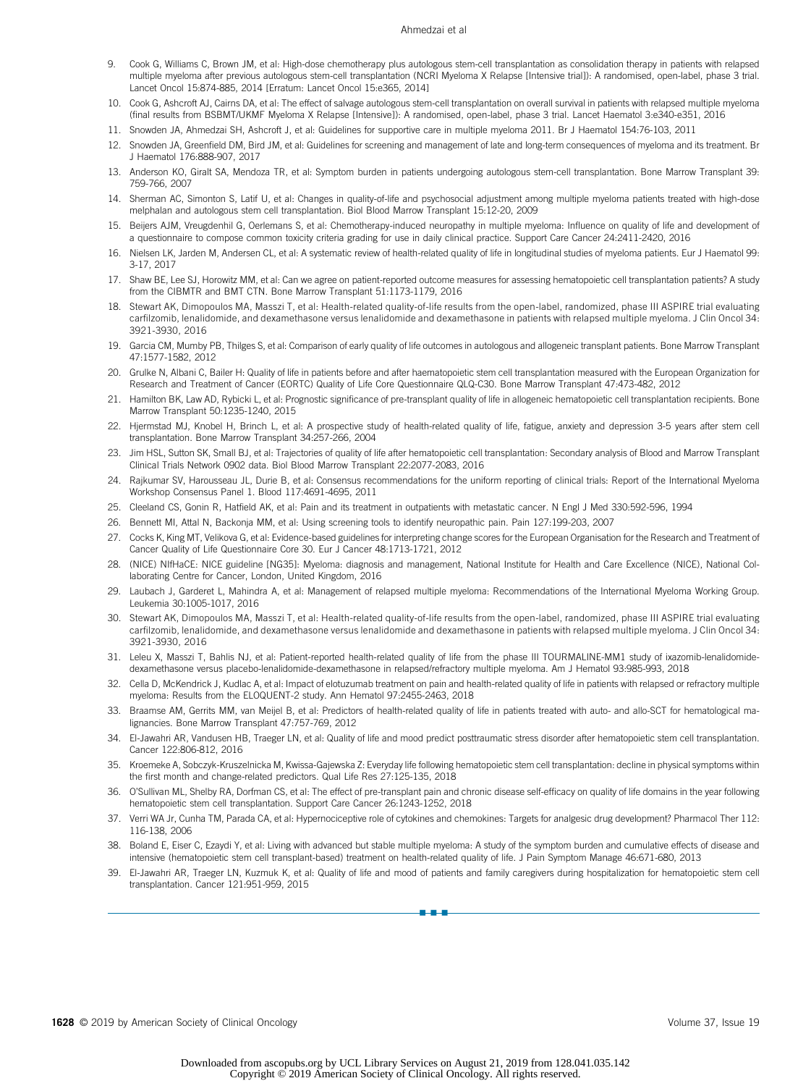#### Ahmedzai et al

- <span id="page-11-0"></span>9. Cook G, Williams C, Brown JM, et al: High-dose chemotherapy plus autologous stem-cell transplantation as consolidation therapy in patients with relapsed multiple myeloma after previous autologous stem-cell transplantation (NCRI Myeloma X Relapse [Intensive trial]): A randomised, open-label, phase 3 trial. Lancet Oncol 15:874-885, 2014 [Erratum: Lancet Oncol 15:e365, 2014]
- 10. Cook G, Ashcroft AJ, Cairns DA, et al: The effect of salvage autologous stem-cell transplantation on overall survival in patients with relapsed multiple myeloma (final results from BSBMT/UKMF Myeloma X Relapse [Intensive]): A randomised, open-label, phase 3 trial. Lancet Haematol 3:e340-e351, 2016
- 11. Snowden JA, Ahmedzai SH, Ashcroft J, et al: Guidelines for supportive care in multiple myeloma 2011. Br J Haematol 154:76-103, 2011
- 12. Snowden JA, Greenfield DM, Bird JM, et al: Guidelines for screening and management of late and long-term consequences of myeloma and its treatment. Br J Haematol 176:888-907, 2017
- 13. Anderson KO, Giralt SA, Mendoza TR, et al: Symptom burden in patients undergoing autologous stem-cell transplantation. Bone Marrow Transplant 39: 759-766, 2007
- 14. Sherman AC, Simonton S, Latif U, et al: Changes in quality-of-life and psychosocial adjustment among multiple myeloma patients treated with high-dose melphalan and autologous stem cell transplantation. Biol Blood Marrow Transplant 15:12-20, 2009
- 15. Beijers AJM, Vreugdenhil G, Oerlemans S, et al: Chemotherapy-induced neuropathy in multiple myeloma: Influence on quality of life and development of a questionnaire to compose common toxicity criteria grading for use in daily clinical practice. Support Care Cancer 24:2411-2420, 2016
- 16. Nielsen LK, Jarden M, Andersen CL, et al: A systematic review of health-related quality of life in longitudinal studies of myeloma patients. Eur J Haematol 99: 3-17, 2017
- 17. Shaw BE, Lee SJ, Horowitz MM, et al: Can we agree on patient-reported outcome measures for assessing hematopoietic cell transplantation patients? A study from the CIBMTR and BMT CTN. Bone Marrow Transplant 51:1173-1179, 2016
- 18. Stewart AK, Dimopoulos MA, Masszi T, et al: Health-related quality-of-life results from the open-label, randomized, phase III ASPIRE trial evaluating carfilzomib, lenalidomide, and dexamethasone versus lenalidomide and dexamethasone in patients with relapsed multiple myeloma. J Clin Oncol 34: 3921-3930, 2016
- 19. Garcia CM, Mumby PB, Thilges S, et al: Comparison of early quality of life outcomes in autologous and allogeneic transplant patients. Bone Marrow Transplant 47:1577-1582, 2012
- 20. Grulke N, Albani C, Bailer H: Quality of life in patients before and after haematopoietic stem cell transplantation measured with the European Organization for Research and Treatment of Cancer (EORTC) Quality of Life Core Questionnaire QLQ-C30. Bone Marrow Transplant 47:473-482, 2012
- 21. Hamilton BK, Law AD, Rybicki L, et al: Prognostic significance of pre-transplant quality of life in allogeneic hematopoietic cell transplantation recipients. Bone Marrow Transplant 50:1235-1240, 2015
- 22. Hjermstad MJ, Knobel H, Brinch L, et al: A prospective study of health-related quality of life, fatigue, anxiety and depression 3-5 years after stem cell transplantation. Bone Marrow Transplant 34:257-266, 2004
- 23. Jim HSL, Sutton SK, Small BJ, et al: Trajectories of quality of life after hematopoietic cell transplantation: Secondary analysis of Blood and Marrow Transplant Clinical Trials Network 0902 data. Biol Blood Marrow Transplant 22:2077-2083, 2016
- 24. Rajkumar SV, Harousseau JL, Durie B, et al: Consensus recommendations for the uniform reporting of clinical trials: Report of the International Myeloma Workshop Consensus Panel 1. Blood 117:4691-4695, 2011
- 25. Cleeland CS, Gonin R, Hatfield AK, et al: Pain and its treatment in outpatients with metastatic cancer. N Engl J Med 330:592-596, 1994
- 26. Bennett MI, Attal N, Backonja MM, et al: Using screening tools to identify neuropathic pain. Pain 127:199-203, 2007
- 27. Cocks K, King MT, Velikova G, et al: Evidence-based guidelines for interpreting change scores for the European Organisation for the Research and Treatment of Cancer Quality of Life Questionnaire Core 30. Eur J Cancer 48:1713-1721, 2012
- 28. (NICE) NIfHaCE: NICE guideline [NG35]: Myeloma: diagnosis and management, National Institute for Health and Care Excellence (NICE), National Collaborating Centre for Cancer, London, United Kingdom, 2016
- 29. Laubach J, Garderet L, Mahindra A, et al: Management of relapsed multiple myeloma: Recommendations of the International Myeloma Working Group. Leukemia 30:1005-1017, 2016
- 30. Stewart AK, Dimopoulos MA, Masszi T, et al: Health-related quality-of-life results from the open-label, randomized, phase III ASPIRE trial evaluating carfilzomib, lenalidomide, and dexamethasone versus lenalidomide and dexamethasone in patients with relapsed multiple myeloma. J Clin Oncol 34: 3921-3930, 2016
- 31. Leleu X, Masszi T, Bahlis NJ, et al: Patient-reported health-related quality of life from the phase III TOURMALINE-MM1 study of ixazomib-lenalidomidedexamethasone versus placebo-lenalidomide-dexamethasone in relapsed/refractory multiple myeloma. Am J Hematol 93:985-993, 2018
- 32. Cella D, McKendrick J, Kudlac A, et al: Impact of elotuzumab treatment on pain and health-related quality of life in patients with relapsed or refractory multiple myeloma: Results from the ELOQUENT-2 study. Ann Hematol 97:2455-2463, 2018
- 33. Braamse AM, Gerrits MM, van Meijel B, et al: Predictors of health-related quality of life in patients treated with auto- and allo-SCT for hematological malignancies. Bone Marrow Transplant 47:757-769, 2012
- 34. El-Jawahri AR, Vandusen HB, Traeger LN, et al: Quality of life and mood predict posttraumatic stress disorder after hematopoietic stem cell transplantation. Cancer 122:806-812, 2016
- 35. Kroemeke A, Sobczyk-Kruszelnicka M, Kwissa-Gajewska Z: Everyday life following hematopoietic stem cell transplantation: decline in physical symptoms within the first month and change-related predictors. Qual Life Res 27:125-135, 2018
- 36. O'Sullivan ML, Shelby RA, Dorfman CS, et al: The effect of pre-transplant pain and chronic disease self-efficacy on quality of life domains in the year following hematopoietic stem cell transplantation. Support Care Cancer 26:1243-1252, 2018
- 37. Verri WA Jr, Cunha TM, Parada CA, et al: Hypernociceptive role of cytokines and chemokines: Targets for analgesic drug development? Pharmacol Ther 112: 116-138, 2006
- 38. Boland E, Eiser C, Ezaydi Y, et al: Living with advanced but stable multiple myeloma: A study of the symptom burden and cumulative effects of disease and intensive (hematopoietic stem cell transplant-based) treatment on health-related quality of life. J Pain Symptom Manage 46:671-680, 2013
- 39. El-Jawahri AR, Traeger LN, Kuzmuk K, et al: Quality of life and mood of patients and family caregivers during hospitalization for hematopoietic stem cell transplantation. Cancer 121:951-959, 2015

n - N